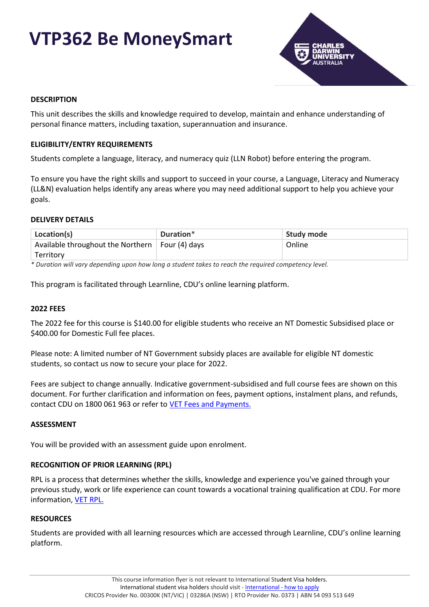# **VTP362 Be MoneySmart**



## **DESCRIPTION**

This unit describes the skills and knowledge required to develop, maintain and enhance understanding of personal finance matters, including taxation, superannuation and insurance.

### **ELIGIBILITY/ENTRY REQUIREMENTS**

Students complete a language, literacy, and numeracy quiz (LLN Robot) before entering the program.

To ensure you have the right skills and support to succeed in your course, a Language, Literacy and Numeracy (LL&N) evaluation helps identify any areas where you may need additional support to help you achieve your goals.

### **DELIVERY DETAILS**

| Location(s)                                             | Duration* | Study mode |
|---------------------------------------------------------|-----------|------------|
| Available throughout the Northern $\vert$ Four (4) days |           | Online     |
| Territory                                               |           |            |

*\* Duration will vary depending upon how long a student takes to reach the required competency level.*

This program is facilitated through Learnline, CDU's online learning platform.

#### **2022 FEES**

The 2022 fee for this course is \$140.00 for eligible students who receive an NT Domestic Subsidised place or \$400.00 for Domestic Full fee places.

Please note: A limited number of NT Government subsidy places are available for eligible NT domestic students, so contact us now to secure your place for 2022.

Fees are subject to change annually. Indicative government-subsidised and full course fees are shown on this document. For further clarification and information on fees, payment options, instalment plans, and refunds, contact CDU on 1800 061 963 or refer to [VET Fees and Payments.](https://www.cdu.edu.au/current-students/student-admin/fees-payments)

#### **ASSESSMENT**

You will be provided with an assessment guide upon enrolment.

## **RECOGNITION OF PRIOR LEARNING (RPL)**

RPL is a process that determines whether the skills, knowledge and experience you've gained through your previous study, work or life experience can count towards a vocational training qualification at CDU. For more information, [VET RPL.](https://www.cdu.edu.au/study/vocational-education-training/rpl)

#### **RESOURCES**

Students are provided with all learning resources which are accessed through Learnline, CDU's online learning platform.